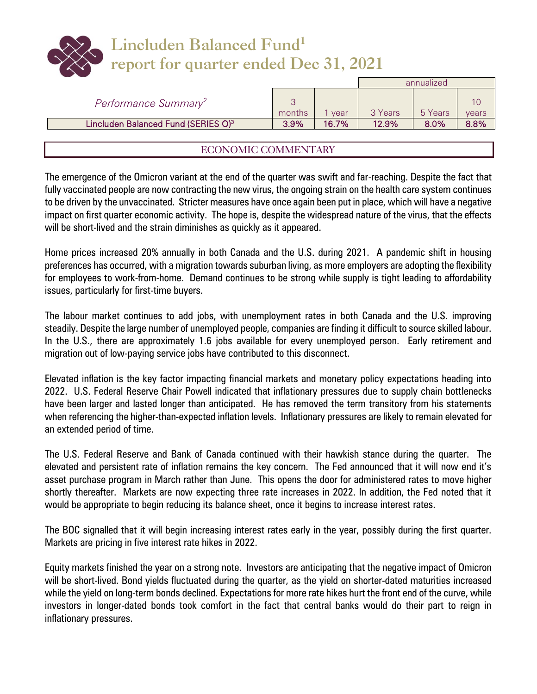| Lincluden Balanced Fund <sup>1</sup><br>report for quarter ended Dec 31, 2021 |
|-------------------------------------------------------------------------------|

|                                                 |         |       |         | annualized |       |
|-------------------------------------------------|---------|-------|---------|------------|-------|
| Performance Summary <sup>2</sup>                | months  | vear  | 3 Years | 5 Years    | vears |
| Lincluden Balanced Fund (SERIES O) <sup>3</sup> | $3.9\%$ | 16.7% | 12.9%   | $8.0\%$    | 8.8%  |

## ECONOMIC COMMENTARY

The emergence of the Omicron variant at the end of the quarter was swift and far-reaching. Despite the fact that fully vaccinated people are now contracting the new virus, the ongoing strain on the health care system continues to be driven by the unvaccinated. Stricter measures have once again been put in place, which will have a negative impact on first quarter economic activity. The hope is, despite the widespread nature of the virus, that the effects will be short-lived and the strain diminishes as quickly as it appeared.

Home prices increased 20% annually in both Canada and the U.S. during 2021. A pandemic shift in housing preferences has occurred, with a migration towards suburban living, as more employers are adopting the flexibility for employees to work-from-home. Demand continues to be strong while supply is tight leading to affordability issues, particularly for first-time buyers.

The labour market continues to add jobs, with unemployment rates in both Canada and the U.S. improving steadily. Despite the large number of unemployed people, companies are finding it difficult to source skilled labour. In the U.S., there are approximately 1.6 jobs available for every unemployed person. Early retirement and migration out of low-paying service jobs have contributed to this disconnect.

Elevated inflation is the key factor impacting financial markets and monetary policy expectations heading into 2022. U.S. Federal Reserve Chair Powell indicated that inflationary pressures due to supply chain bottlenecks have been larger and lasted longer than anticipated. He has removed the term transitory from his statements when referencing the higher-than-expected inflation levels. Inflationary pressures are likely to remain elevated for an extended period of time.

The U.S. Federal Reserve and Bank of Canada continued with their hawkish stance during the quarter. The elevated and persistent rate of inflation remains the key concern. The Fed announced that it will now end it's asset purchase program in March rather than June. This opens the door for administered rates to move higher shortly thereafter. Markets are now expecting three rate increases in 2022. In addition, the Fed noted that it would be appropriate to begin reducing its balance sheet, once it begins to increase interest rates.

The BOC signalled that it will begin increasing interest rates early in the year, possibly during the first quarter. Markets are pricing in five interest rate hikes in 2022.

Equity markets finished the year on a strong note. Investors are anticipating that the negative impact of Omicron will be short-lived. Bond yields fluctuated during the quarter, as the yield on shorter-dated maturities increased while the yield on long-term bonds declined. Expectations for more rate hikes hurt the front end of the curve, while investors in longer-dated bonds took comfort in the fact that central banks would do their part to reign in inflationary pressures.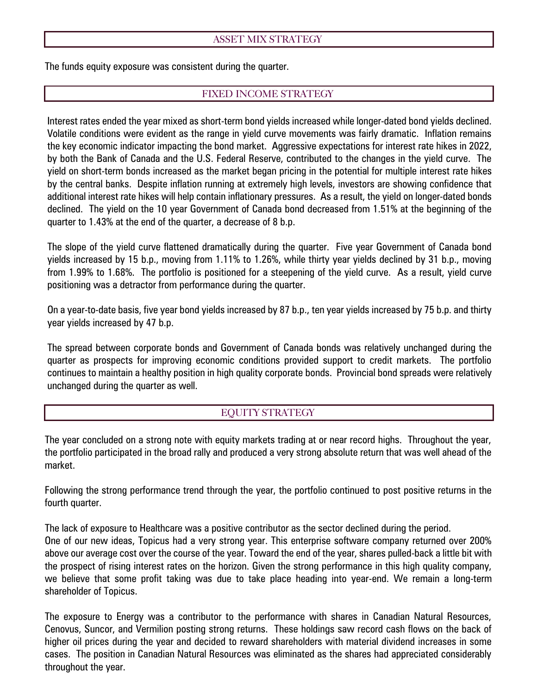## ASSET MIX STRATEGY

The funds equity exposure was consistent during the quarter.

## FIXED INCOME STRATEGY

Interest rates ended the year mixed as short-term bond yields increased while longer-dated bond yields declined. Volatile conditions were evident as the range in yield curve movements was fairly dramatic. Inflation remains the key economic indicator impacting the bond market. Aggressive expectations for interest rate hikes in 2022, by both the Bank of Canada and the U.S. Federal Reserve, contributed to the changes in the yield curve. The yield on short-term bonds increased as the market began pricing in the potential for multiple interest rate hikes by the central banks. Despite inflation running at extremely high levels, investors are showing confidence that additional interest rate hikes will help contain inflationary pressures. As a result, the yield on longer-dated bonds declined. The yield on the 10 year Government of Canada bond decreased from 1.51% at the beginning of the quarter to 1.43% at the end of the quarter, a decrease of 8 b.p.

The slope of the yield curve flattened dramatically during the quarter. Five year Government of Canada bond yields increased by 15 b.p., moving from 1.11% to 1.26%, while thirty year yields declined by 31 b.p., moving from 1.99% to 1.68%. The portfolio is positioned for a steepening of the yield curve. As a result, yield curve positioning was a detractor from performance during the quarter.

On a year-to-date basis, five year bond yields increased by 87 b.p., ten year yields increased by 75 b.p. and thirty year yields increased by 47 b.p.

The spread between corporate bonds and Government of Canada bonds was relatively unchanged during the quarter as prospects for improving economic conditions provided support to credit markets. The portfolio continues to maintain a healthy position in high quality corporate bonds. Provincial bond spreads were relatively unchanged during the quarter as well.

## EQUITY STRATEGY

The year concluded on a strong note with equity markets trading at or near record highs. Throughout the year, the portfolio participated in the broad rally and produced a very strong absolute return that was well ahead of the market.

Following the strong performance trend through the year, the portfolio continued to post positive returns in the fourth quarter.

The lack of exposure to Healthcare was a positive contributor as the sector declined during the period. One of our new ideas, Topicus had a very strong year. This enterprise software company returned over 200% above our average cost over the course of the year. Toward the end of the year, shares pulled-back a little bit with the prospect of rising interest rates on the horizon. Given the strong performance in this high quality company, we believe that some profit taking was due to take place heading into year-end. We remain a long-term shareholder of Topicus.

The exposure to Energy was a contributor to the performance with shares in Canadian Natural Resources, Cenovus, Suncor, and Vermilion posting strong returns. These holdings saw record cash flows on the back of higher oil prices during the year and decided to reward shareholders with material dividend increases in some cases. The position in Canadian Natural Resources was eliminated as the shares had appreciated considerably throughout the year.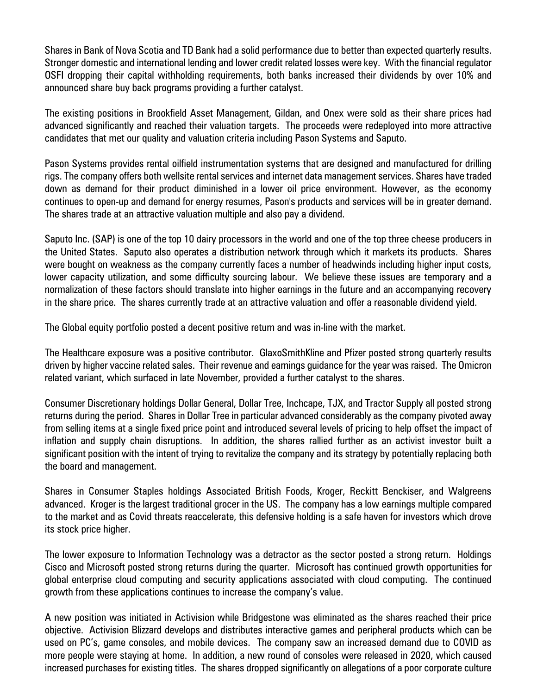Shares in Bank of Nova Scotia and TD Bank had a solid performance due to better than expected quarterly results. Stronger domestic and international lending and lower credit related losses were key. With the financial regulator OSFI dropping their capital withholding requirements, both banks increased their dividends by over 10% and announced share buy back programs providing a further catalyst.

The existing positions in Brookfield Asset Management, Gildan, and Onex were sold as their share prices had advanced significantly and reached their valuation targets. The proceeds were redeployed into more attractive candidates that met our quality and valuation criteria including Pason Systems and Saputo.

Pason Systems provides rental oilfield instrumentation systems that are designed and manufactured for drilling rigs. The company offers both wellsite rental services and internet data management services. Shares have traded down as demand for their product diminished in a lower oil price environment. However, as the economy continues to open-up and demand for energy resumes, Pason's products and services will be in greater demand. The shares trade at an attractive valuation multiple and also pay a dividend.

Saputo Inc. (SAP) is one of the top 10 dairy processors in the world and one of the top three cheese producers in the United States. Saputo also operates a distribution network through which it markets its products. Shares were bought on weakness as the company currently faces a number of headwinds including higher input costs, lower capacity utilization, and some difficulty sourcing labour. We believe these issues are temporary and a normalization of these factors should translate into higher earnings in the future and an accompanying recovery in the share price. The shares currently trade at an attractive valuation and offer a reasonable dividend yield.

The Global equity portfolio posted a decent positive return and was in-line with the market.

The Healthcare exposure was a positive contributor. GlaxoSmithKline and Pfizer posted strong quarterly results driven by higher vaccine related sales. Their revenue and earnings guidance for the year was raised. The Omicron related variant, which surfaced in late November, provided a further catalyst to the shares.

Consumer Discretionary holdings Dollar General, Dollar Tree, Inchcape, TJX, and Tractor Supply all posted strong returns during the period. Shares in Dollar Tree in particular advanced considerably as the company pivoted away from selling items at a single fixed price point and introduced several levels of pricing to help offset the impact of inflation and supply chain disruptions. In addition, the shares rallied further as an activist investor built a significant position with the intent of trying to revitalize the company and its strategy by potentially replacing both the board and management.

Shares in Consumer Staples holdings Associated British Foods, Kroger, Reckitt Benckiser, and Walgreens advanced. Kroger is the largest traditional grocer in the US. The company has a low earnings multiple compared to the market and as Covid threats reaccelerate, this defensive holding is a safe haven for investors which drove its stock price higher.

The lower exposure to Information Technology was a detractor as the sector posted a strong return. Holdings Cisco and Microsoft posted strong returns during the quarter. Microsoft has continued growth opportunities for global enterprise cloud computing and security applications associated with cloud computing. The continued growth from these applications continues to increase the company's value.

A new position was initiated in Activision while Bridgestone was eliminated as the shares reached their price objective. Activision Blizzard develops and distributes interactive games and peripheral products which can be used on PC's, game consoles, and mobile devices. The company saw an increased demand due to COVID as more people were staying at home. In addition, a new round of consoles were released in 2020, which caused increased purchases for existing titles. The shares dropped significantly on allegations of a poor corporate culture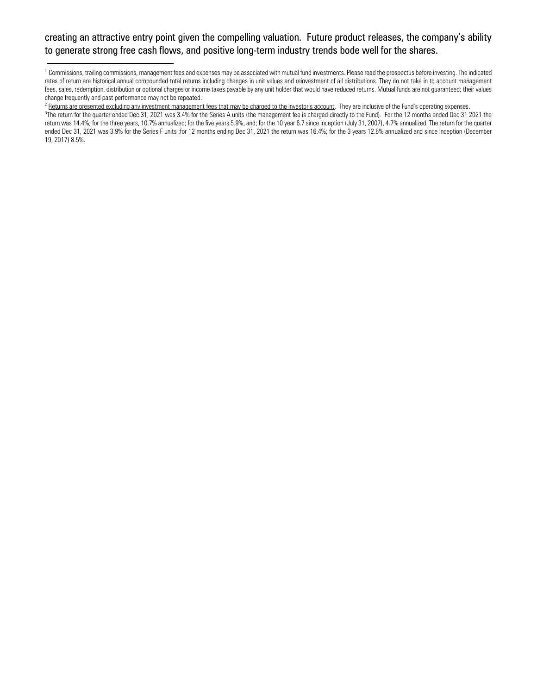## creating an attractive entry point given the compelling valuation. Future product releases, the company's ability to generate strong free cash flows, and positive long-term industry trends bode well for the shares.

<sup>1</sup> Commissions, trailing commissions, management fees and expenses may be associated with mutual fund investments. Please read the prospectus before investing. The indicated rates of return are historical annual compounded total returns including changes in unit values and reinvestment of all distributions. They do not take in to account management fees, sales, redemption, distribution or optional charges or income taxes payable by any unit holder that would have reduced returns. Mutual funds are not guaranteed; their values change frequently and past performance may not be repeated.

<sup>2</sup> Returns are presented excluding any investment management fees that may be charged to the investor's account. They are inclusive of the Fund's operating expenses.

 $\overline{a}$ 

<sup>&</sup>lt;sup>3</sup>The return for the quarter ended Dec 31, 2021 was 3.4% for the Series A units (the management fee is charged directly to the Fund). For the 12 months ended Dec 31 2021 the return was 14.4%; for the three years, 10.7% annualized; for the five years 5.9%, and; for the 10 year 6.7 since inception (July 31, 2007), 4.7% annualized. The return for the quarter ended Dec 31, 2021 was 3.9% for the Series F units ;for 12 months ending Dec 31, 2021 the return was 16.4%; for the 3 years 12.6% annualized and since inception (December 19, 2017) 8.5%.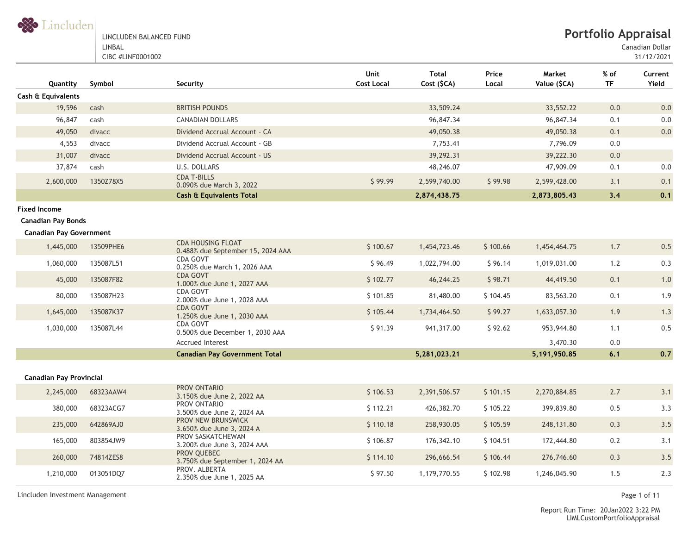S Lincluden

#### LINCLUDEN BALANCED FUND LINBAL

CIBC #LINF0001002

Canadian Dollar

31/12/2021

| Quantity                       | Symbol    | Security                                                      | Unit<br><b>Cost Local</b> | <b>Total</b><br>Cost (\$CA) | Price<br>Local | Market<br>Value (\$CA) | % of<br>TF | Current<br>Yield |
|--------------------------------|-----------|---------------------------------------------------------------|---------------------------|-----------------------------|----------------|------------------------|------------|------------------|
| Cash & Equivalents             |           |                                                               |                           |                             |                |                        |            |                  |
| 19,596                         | cash      | <b>BRITISH POUNDS</b>                                         |                           | 33,509.24                   |                | 33,552.22              | 0.0        | 0.0              |
| 96,847                         | cash      | <b>CANADIAN DOLLARS</b>                                       |                           | 96,847.34                   |                | 96,847.34              | 0.1        | 0.0              |
| 49,050                         | divacc    | Dividend Accrual Account - CA                                 |                           | 49,050.38                   |                | 49,050.38              | 0.1        | 0.0              |
| 4,553                          | divacc    | Dividend Accrual Account - GB                                 |                           | 7,753.41                    |                | 7,796.09               | 0.0        |                  |
| 31,007                         | divacc    | Dividend Accrual Account - US                                 |                           | 39,292.31                   |                | 39,222.30              | 0.0        |                  |
| 37,874                         | cash      | U.S. DOLLARS                                                  |                           | 48,246.07                   |                | 47,909.09              | 0.1        | 0.0              |
| 2,600,000                      | 1350Z78X5 | <b>CDA T-BILLS</b><br>0.090% due March 3, 2022                | \$99.99                   | 2,599,740.00                | \$99.98        | 2,599,428.00           | 3.1        | 0.1              |
|                                |           | <b>Cash &amp; Equivalents Total</b>                           |                           | 2,874,438.75                |                | 2,873,805.43           | 3,4        | 0.1              |
| <b>Fixed Income</b>            |           |                                                               |                           |                             |                |                        |            |                  |
| <b>Canadian Pay Bonds</b>      |           |                                                               |                           |                             |                |                        |            |                  |
| <b>Canadian Pay Government</b> |           |                                                               |                           |                             |                |                        |            |                  |
| 1,445,000                      | 13509PHE6 | <b>CDA HOUSING FLOAT</b><br>0.488% due September 15, 2024 AAA | \$100.67                  | 1,454,723.46                | \$100.66       | 1,454,464.75           | 1.7        | 0.5              |
| 1,060,000                      | 135087L51 | <b>CDA GOVT</b><br>0.250% due March 1, 2026 AAA               | \$96.49                   | 1,022,794.00                | \$96.14        | 1,019,031.00           | 1.2        | 0.3              |
| 45,000                         | 135087F82 | <b>CDA GOVT</b><br>1.000% due June 1, 2027 AAA                | \$102.77                  | 46,244.25                   | \$98.71        | 44,419.50              | 0.1        | $1.0$            |
| 80,000                         | 135087H23 | <b>CDA GOVT</b><br>2.000% due June 1, 2028 AAA                | \$101.85                  | 81,480.00                   | \$104.45       | 83,563.20              | 0.1        | 1.9              |
| 1,645,000                      | 135087K37 | <b>CDA GOVT</b><br>1.250% due June 1, 2030 AAA                | \$105.44                  | 1,734,464.50                | \$99.27        | 1,633,057.30           | 1.9        | 1.3              |
| 1,030,000                      | 135087L44 | CDA GOVT<br>0.500% due December 1, 2030 AAA                   | \$91.39                   | 941,317.00                  | \$92.62        | 953,944.80             | 1.1        | 0.5              |
|                                |           | <b>Accrued Interest</b>                                       |                           |                             |                | 3,470.30               | 0.0        |                  |
|                                |           | <b>Canadian Pay Government Total</b>                          |                           | 5,281,023.21                |                | 5,191,950.85           | 6.1        | 0.7              |
| <b>Canadian Pay Provincial</b> |           |                                                               |                           |                             |                |                        |            |                  |
| 2,245,000                      | 68323AAW4 | PROV ONTARIO                                                  | \$106.53                  | 2,391,506.57                | \$101.15       | 2,270,884.85           | 2.7        | 3.1              |
|                                |           | 3.150% due June 2, 2022 AA<br>PROV ONTARIO                    |                           |                             |                |                        |            |                  |
| 380,000                        | 68323ACG7 | 3.500% due June 2, 2024 AA                                    | \$112.21                  | 426,382.70                  | \$105.22       | 399,839.80             | 0.5        | 3.3              |
| 235,000                        | 642869AJ0 | PROV NEW BRUNSWICK<br>3.650% due June 3, 2024 A               | \$110.18                  | 258,930.05                  | \$105.59       | 248,131.80             | 0.3        | 3.5              |
| 165,000                        | 803854JW9 | PROV SASKATCHEWAN<br>3.200% due June 3, 2024 AAA              | \$106.87                  | 176,342.10                  | \$104.51       | 172,444.80             | 0.2        | 3.1              |
| 260,000                        | 74814ZES8 | PROV QUEBEC<br>3.750% due September 1, 2024 AA                | \$114.10                  | 296,666.54                  | \$106.44       | 276,746.60             | 0.3        | 3.5              |
| 1,210,000                      | 013051DQ7 | PROV. ALBERTA<br>2.350% due June 1, 2025 AA                   | \$97.50                   | 1,179,770.55                | \$102.98       | 1,246,045.90           | 1.5        | 2.3              |

Lincluden Investment Management Page 1 of 11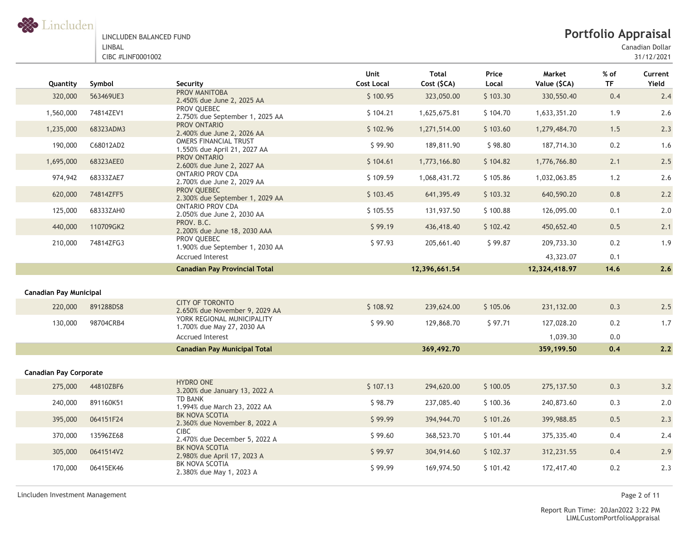

Canadian Dollar

| Quantity                      | Symbol    | Security                                                     | Unit<br><b>Cost Local</b> | <b>Total</b><br>Cost (\$CA) | Price<br>Local | Market<br>Value (\$CA) | % of<br><b>TF</b> | Current<br>Yield |
|-------------------------------|-----------|--------------------------------------------------------------|---------------------------|-----------------------------|----------------|------------------------|-------------------|------------------|
| 320,000                       | 563469UE3 | PROV MANITOBA<br>2.450% due June 2, 2025 AA                  | \$100.95                  | 323,050.00                  | \$103.30       | 330,550.40             | 0.4               | 2.4              |
| 1,560,000                     | 74814ZEV1 | PROV QUEBEC<br>2.750% due September 1, 2025 AA               | \$104.21                  | 1,625,675.81                | \$104.70       | 1,633,351.20           | 1.9               | 2.6              |
| 1,235,000                     | 68323ADM3 | PROV ONTARIO<br>2.400% due June 2, 2026 AA                   | \$102.96                  | 1,271,514.00                | \$103.60       | 1,279,484.70           | 1.5               | 2.3              |
| 190,000                       | C68012AD2 | <b>OMERS FINANCIAL TRUST</b><br>1.550% due April 21, 2027 AA | \$99.90                   | 189,811.90                  | \$98.80        | 187,714.30             | 0.2               | 1.6              |
| 1,695,000                     | 68323AEE0 | PROV ONTARIO<br>2.600% due June 2, 2027 AA                   | \$104.61                  | 1,773,166.80                | \$104.82       | 1,776,766.80           | 2.1               | 2.5              |
| 974,942                       | 68333ZAE7 | <b>ONTARIO PROV CDA</b><br>2.700% due June 2, 2029 AA        | \$109.59                  | 1,068,431.72                | \$105.86       | 1,032,063.85           | 1.2               | 2.6              |
| 620,000                       | 74814ZFF5 | PROV QUEBEC<br>2.300% due September 1, 2029 AA               | \$103.45                  | 641,395.49                  | \$103.32       | 640,590.20             | 0.8               | 2.2              |
| 125,000                       | 68333ZAH0 | <b>ONTARIO PROV CDA</b><br>2.050% due June 2, 2030 AA        | \$105.55                  | 131,937.50                  | \$100.88       | 126,095.00             | 0.1               | 2.0              |
| 440,000                       | 110709GK2 | PROV. B.C.<br>2.200% due June 18, 2030 AAA                   | \$99.19                   | 436,418.40                  | \$102.42       | 450,652.40             | 0.5               | 2.1              |
| 210,000                       | 74814ZFG3 | PROV QUEBEC<br>1.900% due September 1, 2030 AA               | \$97.93                   | 205,661.40                  | \$99.87        | 209,733.30             | 0.2               | 1.9              |
|                               |           | <b>Accrued Interest</b>                                      |                           |                             |                | 43,323.07              | 0.1               |                  |
|                               |           | <b>Canadian Pay Provincial Total</b>                         |                           | 12,396,661.54               |                | 12,324,418.97          | 14.6              | 2.6              |
|                               |           |                                                              |                           |                             |                |                        |                   |                  |
| <b>Canadian Pay Municipal</b> |           |                                                              |                           |                             |                |                        |                   |                  |
| 220,000                       | 891288DS8 | <b>CITY OF TORONTO</b><br>2.650% due November 9, 2029 AA     | \$108.92                  | 239,624.00                  | \$105.06       | 231,132.00             | 0.3               | 2.5              |
| 130,000                       | 98704CRB4 | YORK REGIONAL MUNICIPALITY<br>1.700% due May 27, 2030 AA     | \$99.90                   | 129,868.70                  | \$97.71        | 127,028.20             | 0.2               | 1.7              |
|                               |           | <b>Accrued Interest</b>                                      |                           |                             |                | 1,039.30               | 0.0               |                  |
|                               |           | <b>Canadian Pay Municipal Total</b>                          |                           | 369,492.70                  |                | 359,199.50             | 0.4               | 2.2              |
|                               |           |                                                              |                           |                             |                |                        |                   |                  |
| <b>Canadian Pay Corporate</b> |           | <b>HYDRO ONE</b>                                             |                           |                             |                |                        |                   |                  |
| 275,000                       | 44810ZBF6 | 3.200% due January 13, 2022 A                                | \$107.13                  | 294,620.00                  | \$100.05       | 275, 137.50            | 0.3               | 3.2              |
| 240,000                       | 891160K51 | <b>TD BANK</b><br>1.994% due March 23, 2022 AA               | \$98.79                   | 237,085.40                  | \$100.36       | 240,873.60             | 0.3               | 2.0              |
| 395,000                       | 064151F24 | <b>BK NOVA SCOTIA</b><br>2.360% due November 8, 2022 A       | \$99.99                   | 394,944.70                  | \$101.26       | 399,988.85             | 0.5               | 2.3              |
| 370,000                       | 13596ZE68 | <b>CIBC</b><br>2.470% due December 5, 2022 A                 | \$99.60                   | 368,523.70                  | \$101.44       | 375, 335.40            | 0.4               | 2.4              |
| 305,000                       | 0641514V2 | BK NOVA SCOTIA<br>2.980% due April 17, 2023 A                | \$99.97                   | 304,914.60                  | \$102.37       | 312,231.55             | 0.4               | 2.9              |
| 170,000                       | 06415EK46 | BK NOVA SCOTIA<br>2.380% due May 1, 2023 A                   | \$99.99                   | 169,974.50                  | \$101.42       | 172,417.40             | 0.2               | 2.3              |

Lincluden Investment Management Page 2 of 11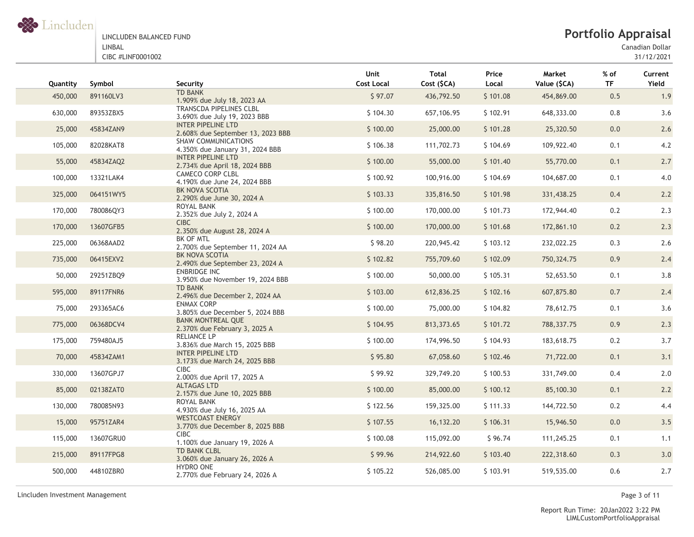

Canadian Dollar

| Quantity | Symbol    | Security                                                                                  | Unit<br><b>Cost Local</b> | Total<br>Cost (\$CA) | Price<br>Local | Market<br>Value (\$CA) | % of<br><b>TF</b> | Current<br>Yield |
|----------|-----------|-------------------------------------------------------------------------------------------|---------------------------|----------------------|----------------|------------------------|-------------------|------------------|
| 450,000  | 891160LV3 | <b>TD BANK</b><br>1.909% due July 18, 2023 AA                                             | \$97.07                   | 436,792.50           | \$101.08       | 454,869.00             | 0.5               | 1.9              |
| 630,000  | 89353ZBX5 | TRANSCDA PIPELINES CLBL<br>3.690% due July 19, 2023 BBB                                   | \$104.30                  | 657,106.95           | \$102.91       | 648,333.00             | 0.8               | 3.6              |
| 25,000   | 45834ZAN9 | <b>INTER PIPELINE LTD</b><br>2.608% due September 13, 2023 BBB                            | \$100.00                  | 25,000.00            | \$101.28       | 25,320.50              | 0.0               | 2.6              |
| 105,000  | 82028KAT8 | SHAW COMMUNICATIONS<br>4.350% due January 31, 2024 BBB                                    | \$106.38                  | 111,702.73           | \$104.69       | 109,922.40             | 0.1               | 4.2              |
| 55,000   | 45834ZAQ2 | <b>INTER PIPELINE LTD</b><br>2.734% due April 18, 2024 BBB                                | \$100.00                  | 55,000.00            | \$101.40       | 55,770.00              | 0.1               | 2.7              |
| 100,000  | 13321LAK4 | CAMECO CORP CLBL<br>4.190% due June 24, 2024 BBB                                          | \$100.92                  | 100,916.00           | \$104.69       | 104,687.00             | 0.1               | 4.0              |
| 325,000  | 064151WY5 | BK NOVA SCOTIA<br>2.290% due June 30, 2024 A                                              | \$103.33                  | 335,816.50           | \$101.98       | 331,438.25             | 0.4               | 2.2              |
| 170,000  | 780086QY3 | ROYAL BANK<br>2.352% due July 2, 2024 A                                                   | \$100.00                  | 170,000.00           | \$101.73       | 172,944.40             | 0.2               | 2.3              |
| 170,000  | 13607GFB5 | <b>CIBC</b><br>2.350% due August 28, 2024 A                                               | \$100.00                  | 170,000.00           | \$101.68       | 172,861.10             | 0.2               | 2.3              |
| 225,000  | 06368AAD2 | BK OF MTL<br>2.700% due September 11, 2024 AA                                             | \$98.20                   | 220,945.42           | \$103.12       | 232,022.25             | 0.3               | 2.6              |
| 735,000  | 06415EXV2 | BK NOVA SCOTIA<br>2.490% due September 23, 2024 A                                         | \$102.82                  | 755,709.60           | \$102.09       | 750,324.75             | 0.9               | 2.4              |
| 50,000   | 29251ZBQ9 | <b>ENBRIDGE INC</b><br>3.950% due November 19, 2024 BBB                                   | \$100.00                  | 50,000.00            | \$105.31       | 52,653.50              | 0.1               | 3.8              |
| 595,000  | 89117FNR6 | <b>TD BANK</b><br>2.496% due December 2, 2024 AA                                          | \$103.00                  | 612,836.25           | \$102.16       | 607,875.80             | 0.7               | 2.4              |
| 75,000   | 293365AC6 | <b>ENMAX CORP</b><br>3.805% due December 5, 2024 BBB                                      | \$100.00                  | 75,000.00            | \$104.82       | 78,612.75              | 0.1               | 3.6              |
| 775,000  | 06368DCV4 | <b>BANK MONTREAL QUE</b><br>2.370% due February 3, 2025 A                                 | \$104.95                  | 813, 373.65          | \$101.72       | 788,337.75             | 0.9               | 2.3              |
| 175,000  | 759480AJ5 | RELIANCE LP<br>3.836% due March 15, 2025 BBB                                              | \$100.00                  | 174,996.50           | \$104.93       | 183,618.75             | $0.2\,$           | 3.7              |
| 70,000   | 45834ZAM1 | <b>INTER PIPELINE LTD</b><br>3.173% due March 24, 2025 BBB                                | \$95.80                   | 67,058.60            | \$102.46       | 71,722.00              | 0.1               | 3.1              |
| 330,000  | 13607GPJ7 | CIBC<br>2.000% due April 17, 2025 A                                                       | \$99.92                   | 329,749.20           | \$100.53       | 331,749.00             | 0.4               | 2.0              |
| 85,000   | 02138ZAT0 | <b>ALTAGAS LTD</b><br>2.157% due June 10, 2025 BBB                                        | \$100.00                  | 85,000.00            | \$100.12       | 85,100.30              | 0.1               | 2.2              |
| 130,000  | 780085N93 | ROYAL BANK                                                                                | \$122.56                  | 159,325.00           | \$111.33       | 144,722.50             | 0.2               | 4.4              |
| 15,000   | 95751ZAR4 | 4.930% due July 16, 2025 AA<br><b>WESTCOAST ENERGY</b><br>3.770% due December 8, 2025 BBB | \$107.55                  | 16,132.20            | \$106.31       | 15,946.50              | 0.0               | 3.5              |
| 115,000  | 13607GRU0 | CIBC.                                                                                     | \$100.08                  | 115,092.00           | \$96.74        | 111,245.25             | 0.1               | 1.1              |
| 215,000  | 89117FPG8 | 1.100% due January 19, 2026 A<br><b>TD BANK CLBL</b><br>3.060% due January 26, 2026 A     | \$99.96                   | 214,922.60           | \$103.40       | 222,318.60             | 0.3               | 3.0              |
| 500,000  | 44810ZBR0 | <b>HYDRO ONE</b><br>2.770% due February 24, 2026 A                                        | \$105.22                  | 526,085.00           | \$103.91       | 519,535.00             | 0.6               | 2.7              |

Lincluden Investment Management Page 3 of 11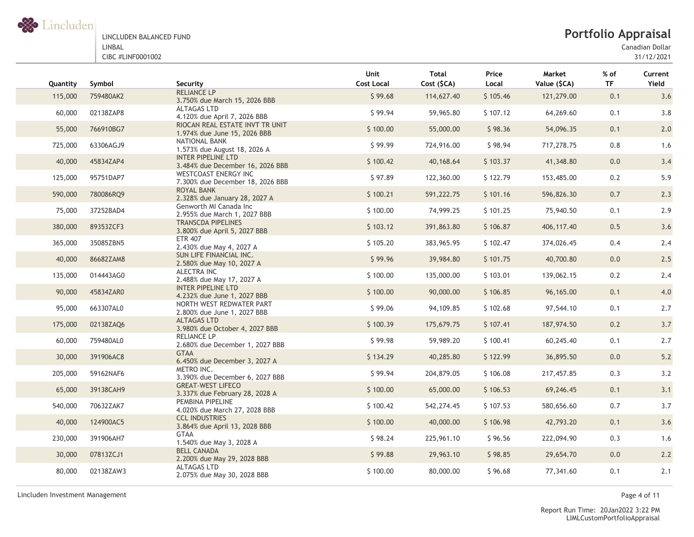

# **Portfolio Appraisal**

Canadian Dollar

31/12/2021

| Quantity | Symbol    | Security                                                        | Unit<br><b>Cost Local</b> | <b>Total</b><br>Cost (\$CA) | Price<br>Local | Market<br>Value (\$CA) | $%$ of<br><b>TF</b> | Current<br>Yield |
|----------|-----------|-----------------------------------------------------------------|---------------------------|-----------------------------|----------------|------------------------|---------------------|------------------|
| 115,000  | 759480AK2 | <b>RELIANCE LP</b><br>3.750% due March 15, 2026 BBB             | \$99.68                   | 114,627.40                  | \$105.46       | 121,279.00             | 0.1                 | 3.6              |
| 60,000   | 02138ZAP8 | <b>ALTAGAS LTD</b><br>4.120% due April 7, 2026 BBB              | \$99.94                   | 59,965.80                   | \$107.12       | 64,269.60              | 0.1                 | 3.8              |
| 55,000   | 766910BG7 | RIOCAN REAL ESTATE INVT TR UNIT<br>1.974% due June 15, 2026 BBB | \$100.00                  | 55,000.00                   | \$98.36        | 54,096.35              | 0.1                 | 2.0              |
| 725,000  | 63306AGJ9 | NATIONAL BANK<br>1.573% due August 18, 2026 A                   | \$99.99                   | 724,916.00                  | \$98.94        | 717,278.75             | 0.8                 | 1.6              |
| 40,000   | 45834ZAP4 | <b>INTER PIPELINE LTD</b><br>3.484% due December 16, 2026 BBB   | \$100.42                  | 40,168.64                   | \$103.37       | 41,348.80              | 0.0                 | 3.4              |
| 125,000  | 95751DAP7 | <b>WESTCOAST ENERGY INC</b><br>7.300% due December 18, 2026 BBB | \$97.89                   | 122,360.00                  | \$122.79       | 153,485.00             | 0.2                 | 5.9              |
| 590,000  | 780086RQ9 | <b>ROYAL BANK</b><br>2.328% due January 28, 2027 A              | \$100.21                  | 591,222.75                  | \$101.16       | 596,826.30             | 0.7                 | 2.3              |
| 75,000   | 37252BAD4 | Genworth MI Canada Inc<br>2.955% due March 1, 2027 BBB          | \$100.00                  | 74,999.25                   | \$101.25       | 75,940.50              | 0.1                 | 2.9              |
| 380,000  | 89353ZCF3 | <b>TRANSCDA PIPELINES</b><br>3.800% due April 5, 2027 BBB       | \$103.12                  | 391,863.80                  | \$106.87       | 406,117.40             | 0.5                 | 3.6              |
| 365,000  | 35085ZBN5 | <b>ETR 407</b><br>2.430% due May 4, 2027 A                      | \$105.20                  | 383,965.95                  | \$102.47       | 374,026.45             | 0.4                 | 2.4              |
| 40,000   | 86682ZAM8 | SUN LIFE FINANCIAL INC.<br>2.580% due May 10, 2027 A            | \$99.96                   | 39,984.80                   | \$101.75       | 40,700.80              | 0.0                 | 2.5              |
| 135,000  | 014443AG0 | ALECTRA INC<br>2.488% due May 17, 2027 A                        | \$100.00                  | 135,000.00                  | \$103.01       | 139,062.15             | 0.2                 | 2.4              |
| 90,000   | 45834ZAR0 | <b>INTER PIPELINE LTD</b><br>4.232% due June 1, 2027 BBB        | \$100.00                  | 90,000.00                   | \$106.85       | 96,165.00              | 0.1                 | 4.0              |
| 95,000   | 663307AL0 | NORTH WEST REDWATER PART<br>2.800% due June 1, 2027 BBB         | \$99.06                   | 94,109.85                   | \$102.68       | 97,544.10              | 0.1                 | 2.7              |
| 175,000  | 02138ZAQ6 | ALTAGAS LTD<br>3.980% due October 4, 2027 BBB                   | \$100.39                  | 175,679.75                  | \$107.41       | 187,974.50             | 0.2                 | 3.7              |
| 60,000   | 759480AL0 | <b>RELIANCE LP</b><br>2.680% due December 1, 2027 BBB           | \$99.98                   | 59,989.20                   | \$100.41       | 60,245.40              | 0.1                 | 2.7              |
| 30,000   | 391906AC8 | <b>GTAA</b><br>6.450% due December 3, 2027 A                    | \$134.29                  | 40,285.80                   | \$122.99       | 36,895.50              | 0.0                 | $5.2$            |
| 205,000  | 59162NAF6 | METRO INC.<br>3.390% due December 6, 2027 BBB                   | \$99.94                   | 204,879.05                  | \$106.08       | 217,457.85             | 0.3                 | 3.2              |
| 65,000   | 39138CAH9 | <b>GREAT-WEST LIFECO</b><br>3.337% due February 28, 2028 A      | \$100.00                  | 65,000.00                   | \$106.53       | 69,246.45              | 0.1                 | 3.1              |
| 540,000  | 70632ZAK7 | PEMBINA PIPELINE<br>4.020% due March 27, 2028 BBB               | \$100.42                  | 542,274.45                  | \$107.53       | 580,656.60             | 0.7                 | 3.7              |
| 40,000   | 124900AC5 | <b>CCL INDUSTRIES</b><br>3.864% due April 13, 2028 BBB          | \$100.00                  | 40,000.00                   | \$106.98       | 42,793.20              | 0.1                 | 3.6              |
| 230,000  | 391906AH7 | <b>GTAA</b><br>1.540% due May 3, 2028 A                         | \$98.24                   | 225,961.10                  | \$96.56        | 222,094.90             | 0.3                 | 1.6              |
| 30,000   | 07813ZCJ1 | <b>BELL CANADA</b><br>2.200% due May 29, 2028 BBB               | \$99.88                   | 29,963.10                   | \$98.85        | 29,654.70              | 0.0                 | 2.2              |
| 80,000   | 02138ZAW3 | <b>ALTAGAS LTD</b><br>2.075% due May 30, 2028 BBB               | \$100.00                  | 80,000.00                   | \$96.68        | 77,341.60              | 0.1                 | 2.1              |

Lincluden Investment Management Page 4 of 11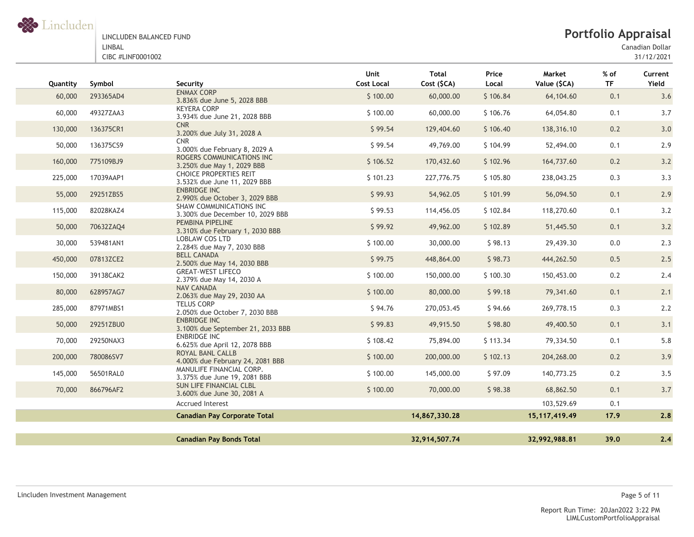

Canadian Dollar

| Quantity | Symbol    | Security                                                      | Unit<br><b>Cost Local</b> | <b>Total</b><br>Cost (\$CA) | Price<br>Local | Market<br>Value (\$CA) | $%$ of<br><b>TF</b> | Current<br>Yield |
|----------|-----------|---------------------------------------------------------------|---------------------------|-----------------------------|----------------|------------------------|---------------------|------------------|
| 60,000   | 293365AD4 | <b>ENMAX CORP</b><br>3.836% due June 5, 2028 BBB              | \$100.00                  | 60,000.00                   | \$106.84       | 64,104.60              | 0.1                 | 3.6              |
| 60,000   | 49327ZAA3 | <b>KEYERA CORP</b><br>3.934% due June 21, 2028 BBB            | \$100.00                  | 60,000.00                   | \$106.76       | 64,054.80              | 0.1                 | 3.7              |
| 130,000  | 136375CR1 | <b>CNR</b><br>3.200% due July 31, 2028 A                      | \$99.54                   | 129,404.60                  | \$106.40       | 138,316.10             | 0.2                 | 3.0              |
| 50,000   | 136375CS9 | <b>CNR</b><br>3.000% due February 8, 2029 A                   | \$99.54                   | 49,769.00                   | \$104.99       | 52,494.00              | 0.1                 | 2.9              |
| 160,000  | 775109BJ9 | ROGERS COMMUNICATIONS INC<br>3.250% due May 1, 2029 BBB       | \$106.52                  | 170,432.60                  | \$102.96       | 164,737.60             | 0.2                 | 3.2              |
| 225,000  | 17039AAP1 | <b>CHOICE PROPERTIES REIT</b><br>3.532% due June 11, 2029 BBB | \$101.23                  | 227,776.75                  | \$105.80       | 238,043.25             | 0.3                 | 3.3              |
| 55,000   | 29251ZBS5 | <b>ENBRIDGE INC</b><br>2.990% due October 3, 2029 BBB         | \$99.93                   | 54,962.05                   | \$101.99       | 56,094.50              | 0.1                 | 2.9              |
| 115,000  | 82028KAZ4 | SHAW COMMUNICATIONS INC<br>3.300% due December 10, 2029 BBB   | \$99.53                   | 114,456.05                  | \$102.84       | 118,270.60             | 0.1                 | 3.2              |
| 50,000   | 70632ZAQ4 | PEMBINA PIPELINE<br>3.310% due February 1, 2030 BBB           | \$99.92                   | 49,962.00                   | \$102.89       | 51,445.50              | 0.1                 | 3.2              |
| 30,000   | 539481AN1 | <b>LOBLAW COS LTD</b><br>2.284% due May 7, 2030 BBB           | \$100.00                  | 30,000.00                   | \$98.13        | 29,439.30              | 0.0                 | 2.3              |
| 450,000  | 07813ZCE2 | <b>BELL CANADA</b><br>2.500% due May 14, 2030 BBB             | \$99.75                   | 448,864.00                  | \$98.73        | 444,262.50             | 0.5                 | 2.5              |
| 150,000  | 39138CAK2 | <b>GREAT-WEST LIFECO</b><br>2.379% due May 14, 2030 A         | \$100.00                  | 150,000.00                  | \$100.30       | 150,453.00             | 0.2                 | 2.4              |
| 80,000   | 628957AG7 | <b>NAV CANADA</b><br>2.063% due May 29, 2030 AA               | \$100.00                  | 80,000.00                   | \$99.18        | 79,341.60              | 0.1                 | 2.1              |
| 285,000  | 87971MBS1 | <b>TELUS CORP</b><br>2.050% due October 7, 2030 BBB           | \$94.76                   | 270,053.45                  | \$94.66        | 269,778.15             | 0.3                 | 2.2              |
| 50,000   | 29251ZBU0 | <b>ENBRIDGE INC</b><br>3.100% due September 21, 2033 BBB      | \$99.83                   | 49,915.50                   | \$98.80        | 49,400.50              | 0.1                 | 3.1              |
| 70,000   | 29250NAX3 | <b>ENBRIDGE INC</b><br>6.625% due April 12, 2078 BBB          | \$108.42                  | 75,894.00                   | \$113.34       | 79,334.50              | 0.1                 | 5.8              |
| 200,000  | 780086SV7 | ROYAL BANL CALLB<br>4.000% due February 24, 2081 BBB          | \$100.00                  | 200,000.00                  | \$102.13       | 204,268.00             | 0.2                 | 3.9              |
| 145,000  | 56501RAL0 | MANULIFE FINANCIAL CORP.<br>3.375% due June 19, 2081 BBB      | \$100.00                  | 145,000.00                  | \$97.09        | 140,773.25             | 0.2                 | 3.5              |
| 70,000   | 866796AF2 | SUN LIFE FINANCIAL CLBL<br>3.600% due June 30, 2081 A         | \$100.00                  | 70,000.00                   | \$98.38        | 68,862.50              | 0.1                 | 3.7              |
|          |           | <b>Accrued Interest</b>                                       |                           |                             |                | 103,529.69             | 0.1                 |                  |
|          |           | <b>Canadian Pay Corporate Total</b>                           |                           | 14,867,330.28               |                | 15, 117, 419. 49       | 17.9                | 2.8              |
|          |           |                                                               |                           |                             |                |                        |                     |                  |
|          |           | <b>Canadian Pay Bonds Total</b>                               |                           | 32,914,507.74               |                | 32,992,988.81          | 39.0                | 2.4              |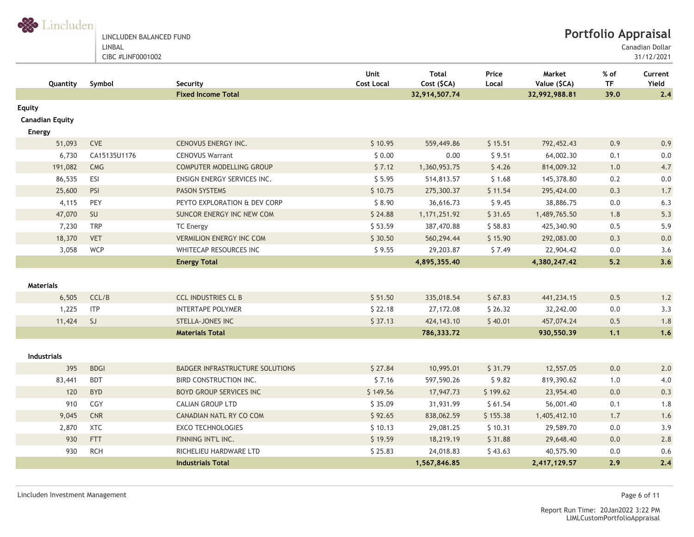

LINCLUDEN BALANCED FUND LINBAL

CIBC #LINF0001002

Canadian Dollar

31/12/2021

| Quantity                                   | Symbol       | Security                               | Unit<br><b>Cost Local</b> | <b>Total</b><br>Cost (\$CA) | Price<br>Local | Market<br>Value (\$CA) | % of<br><b>TF</b> | Current<br>Yield |
|--------------------------------------------|--------------|----------------------------------------|---------------------------|-----------------------------|----------------|------------------------|-------------------|------------------|
|                                            |              | <b>Fixed Income Total</b>              |                           | 32,914,507.74               |                | 32,992,988.81          | 39.0              | 2.4              |
| Equity<br><b>Canadian Equity</b><br>Energy |              |                                        |                           |                             |                |                        |                   |                  |
| 51,093                                     | CVE          | CENOVUS ENERGY INC.                    | \$10.95                   | 559,449.86                  | \$15.51        | 792,452.43             | 0.9               | 0.9              |
| 6,730                                      | CA15135U1176 | <b>CENOVUS Warrant</b>                 | \$0.00                    | 0.00                        | \$9.51         | 64,002.30              | 0.1               | $0.0\,$          |
| 191,082                                    | CMG          | COMPUTER MODELLING GROUP               | \$7.12                    | 1,360,953.75                | \$4.26         | 814,009.32             | 1.0               | 4.7              |
| 86,535                                     | ESI          | ENSIGN ENERGY SERVICES INC.            | \$5.95                    | 514,813.57                  | \$1.68         | 145,378.80             | 0.2               | $0.0\,$          |
| 25,600                                     | PSI          | <b>PASON SYSTEMS</b>                   | \$10.75                   | 275,300.37                  | \$11.54        | 295,424.00             | 0.3               | 1.7              |
| 4,115                                      | PEY          | PEYTO EXPLORATION & DEV CORP           | \$8.90                    | 36,616.73                   | \$9.45         | 38,886.75              | 0.0               | 6.3              |
| 47,070                                     | SU           | SUNCOR ENERGY INC NEW COM              | \$24.88                   | 1, 171, 251.92              | \$31.65        | 1,489,765.50           | 1.8               | 5.3              |
| 7,230                                      | <b>TRP</b>   | <b>TC Energy</b>                       | \$53.59                   | 387,470.88                  | \$58.83        | 425,340.90             | 0.5               | 5.9              |
| 18,370                                     | <b>VET</b>   | <b>VERMILION ENERGY INC COM</b>        | \$30.50                   | 560,294.44                  | \$15.90        | 292,083.00             | 0.3               | 0.0              |
| 3,058                                      | WCP          | WHITECAP RESOURCES INC                 | \$9.55                    | 29,203.87                   | \$7.49         | 22,904.42              | 0.0               | 3.6              |
|                                            |              | <b>Energy Total</b>                    |                           | 4,895,355.40                |                | 4,380,247.42           | 5.2               | 3.6              |
| <b>Materials</b>                           |              |                                        |                           |                             |                |                        |                   |                  |
| 6,505                                      | CCL/B        | <b>CCL INDUSTRIES CL B</b>             | \$51.50                   | 335,018.54                  | \$67.83        | 441,234.15             | 0.5               | 1.2              |
| 1,225                                      | <b>ITP</b>   | <b>INTERTAPE POLYMER</b>               | \$22.18                   | 27,172.08                   | \$26.32        | 32,242.00              | 0.0               | 3.3              |
| 11,424                                     | SJ           | STELLA-JONES INC                       | \$37.13                   | 424, 143. 10                | \$40.01        | 457,074.24             | 0.5               | 1.8              |
|                                            |              | <b>Materials Total</b>                 |                           | 786,333.72                  |                | 930,550.39             | 1,1               | 1.6              |
| <b>Industrials</b>                         |              |                                        |                           |                             |                |                        |                   |                  |
| 395                                        | <b>BDGI</b>  | <b>BADGER INFRASTRUCTURE SOLUTIONS</b> | \$27.84                   | 10,995.01                   | \$31.79        | 12,557.05              | 0.0               | 2.0              |
| 83,441                                     | <b>BDT</b>   | <b>BIRD CONSTRUCTION INC.</b>          | \$7.16                    | 597,590.26                  | \$9.82         | 819,390.62             | 1.0               | 4.0              |
| 120                                        | <b>BYD</b>   | <b>BOYD GROUP SERVICES INC</b>         | \$149.56                  | 17,947.73                   | \$199.62       | 23,954.40              | 0.0               | 0.3              |
| 910                                        | CGY          | <b>CALIAN GROUP LTD</b>                | \$35.09                   | 31,931.99                   | \$61.54        | 56,001.40              | 0.1               | 1.8              |
| 9,045                                      | CNR          | CANADIAN NATL RY CO COM                | \$92.65                   | 838,062.59                  | \$155.38       | 1,405,412.10           | 1.7               | 1.6              |
| 2,870                                      | <b>XTC</b>   | <b>EXCO TECHNOLOGIES</b>               | \$10.13                   | 29,081.25                   | \$10.31        | 29,589.70              | 0.0               | 3.9              |
| 930                                        | <b>FTT</b>   | FINNING INT'L INC.                     | \$19.59                   | 18,219.19                   | \$31.88        | 29,648.40              | 0.0               | 2.8              |
| 930                                        | <b>RCH</b>   | RICHELIEU HARDWARE LTD                 | \$25.83                   | 24,018.83                   | \$43.63        | 40,575.90              | 0.0               | 0.6              |
|                                            |              | <b>Industrials Total</b>               |                           | 1,567,846.85                |                | 2,417,129.57           | 2.9               | 2.4              |

Lincluden Investment Management Page 6 of 11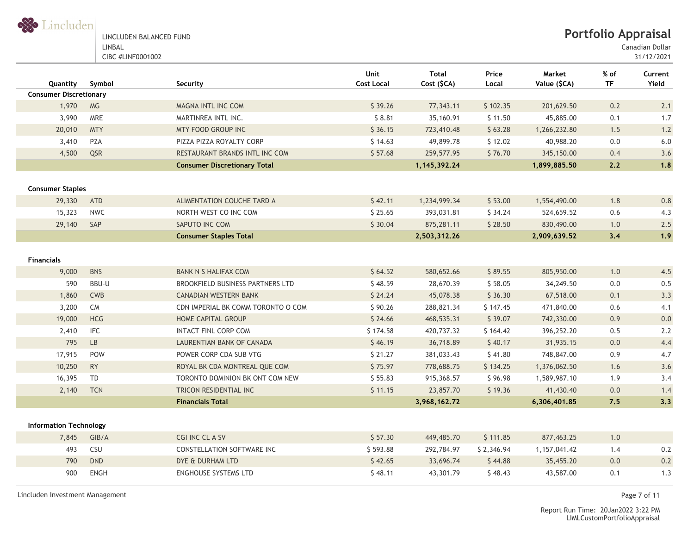

**Portfolio Appraisal**

Canadian Dollar

31/12/2021

| Quantity                      | Symbol                 | Security                                | <b>Unit</b><br><b>Cost Local</b> | <b>Total</b><br>Cost (\$CA) | Price<br>Local | Market<br>Value (\$CA) | $%$ of<br><b>TF</b> | Current<br>Yield |
|-------------------------------|------------------------|-----------------------------------------|----------------------------------|-----------------------------|----------------|------------------------|---------------------|------------------|
| <b>Consumer Discretionary</b> |                        |                                         |                                  |                             |                |                        |                     |                  |
| 1,970                         | <b>MG</b>              | MAGNA INTL INC COM                      | \$39.26                          | 77,343.11                   | \$102.35       | 201,629.50             | 0.2                 | 2.1              |
| 3,990                         | MRE                    | MARTINREA INTL INC.                     | \$8.81                           | 35,160.91                   | \$11.50        | 45,885.00              | 0.1                 | 1.7              |
| 20,010                        | <b>MTY</b>             | MTY FOOD GROUP INC                      | \$36.15                          | 723,410.48                  | \$63.28        | 1,266,232.80           | 1.5                 | 1.2              |
| 3,410                         | <b>PZA</b>             | PIZZA PIZZA ROYALTY CORP                | \$14.63                          | 49,899.78                   | \$12.02        | 40,988.20              | 0.0                 | 6.0              |
| 4,500                         | QSR                    | RESTAURANT BRANDS INTL INC COM          | \$57.68                          | 259,577.95                  | \$76.70        | 345,150.00             | 0.4                 | 3.6              |
|                               |                        | <b>Consumer Discretionary Total</b>     |                                  | 1,145,392.24                |                | 1,899,885.50           | 2.2                 | 1.8              |
| <b>Consumer Staples</b>       |                        |                                         |                                  |                             |                |                        |                     |                  |
| 29,330                        | ATD                    | ALIMENTATION COUCHE TARD A              | \$42.11                          | 1,234,999.34                | \$53.00        | 1,554,490.00           | 1.8                 | 0.8              |
| 15,323                        | <b>NWC</b>             | NORTH WEST CO INC COM                   | \$25.65                          | 393,031.81                  | \$34.24        | 524,659.52             | 0.6                 | 4.3              |
| 29,140                        | SAP                    | SAPUTO INC COM                          | \$30.04                          | 875,281.11                  | \$28.50        | 830,490.00             | 1.0                 | 2.5              |
|                               |                        | <b>Consumer Staples Total</b>           |                                  | 2,503,312.26                |                | 2,909,639.52           | 3.4                 | 1.9              |
| <b>Financials</b>             |                        |                                         |                                  |                             |                |                        |                     |                  |
| 9,000                         | <b>BNS</b>             | <b>BANK N S HALIFAX COM</b>             | \$64.52                          | 580,652.66                  | \$89.55        | 805,950.00             | 1.0                 | 4.5              |
| 590                           | BBU-U                  | <b>BROOKFIELD BUSINESS PARTNERS LTD</b> | \$48.59                          | 28,670.39                   | \$58.05        | 34,249.50              | 0.0                 | 0.5              |
| 1,860                         | <b>CWB</b>             | <b>CANADIAN WESTERN BANK</b>            | \$24.24                          | 45,078.38                   | \$36.30        | 67,518.00              | 0.1                 | 3.3              |
| 3,200                         | <b>CM</b>              | CDN IMPERIAL BK COMM TORONTO O COM      | \$90.26                          | 288,821.34                  | \$147.45       | 471,840.00             | 0.6                 | 4.1              |
| 19,000                        | <b>HCG</b>             | HOME CAPITAL GROUP                      | \$24.66                          | 468,535.31                  | \$39.07        | 742,330.00             | 0.9                 | 0.0              |
| 2,410                         | <b>IFC</b>             | <b>INTACT FINL CORP COM</b>             | \$174.58                         | 420,737.32                  | \$164.42       | 396,252.20             | 0.5                 | 2.2              |
| 795                           | $\mathsf{L}\mathsf{B}$ | LAURENTIAN BANK OF CANADA               | \$46.19                          | 36,718.89                   | \$40.17        | 31,935.15              | 0.0                 | 4.4              |
| 17,915                        | POW                    | POWER CORP CDA SUB VTG                  | \$21.27                          | 381,033.43                  | \$41.80        | 748,847.00             | 0.9                 | 4.7              |
| 10,250                        | <b>RY</b>              | ROYAL BK CDA MONTREAL QUE COM           | \$75.97                          | 778,688.75                  | \$134.25       | 1,376,062.50           | 1.6                 | 3.6              |
| 16,395                        | TD                     | TORONTO DOMINION BK ONT COM NEW         | \$55.83                          | 915,368.57                  | \$96.98        | 1,589,987.10           | 1.9                 | 3.4              |
| 2,140                         | <b>TCN</b>             | TRICON RESIDENTIAL INC                  | \$11.15                          | 23,857.70                   | \$19.36        | 41,430.40              | 0.0                 | 1.4              |
|                               |                        | <b>Financials Total</b>                 |                                  | 3,968,162.72                |                | 6,306,401.85           | 7.5                 | 3.3              |
| <b>Information Technology</b> |                        |                                         |                                  |                             |                |                        |                     |                  |
| 7,845                         | GIB/A                  | CGI INC CL A SV                         | \$57.30                          | 449,485.70                  | \$111.85       | 877,463.25             | 1.0                 |                  |
| 493                           | CSU                    | <b>CONSTELLATION SOFTWARE INC</b>       | \$593.88                         | 292,784.97                  | \$2,346.94     | 1,157,041.42           | 1.4                 | $0.2\,$          |
| 790                           | <b>DND</b>             | DYE & DURHAM LTD                        | \$42.65                          | 33,696.74                   | \$44.88        | 35,455.20              | 0.0                 | 0.2              |
| 900                           | <b>ENGH</b>            | <b>ENGHOUSE SYSTEMS LTD</b>             | \$48.11                          | 43,301.79                   | \$48.43        | 43,587.00              | 0.1                 | 1.3              |

Lincluden Investment Management Page 7 of 11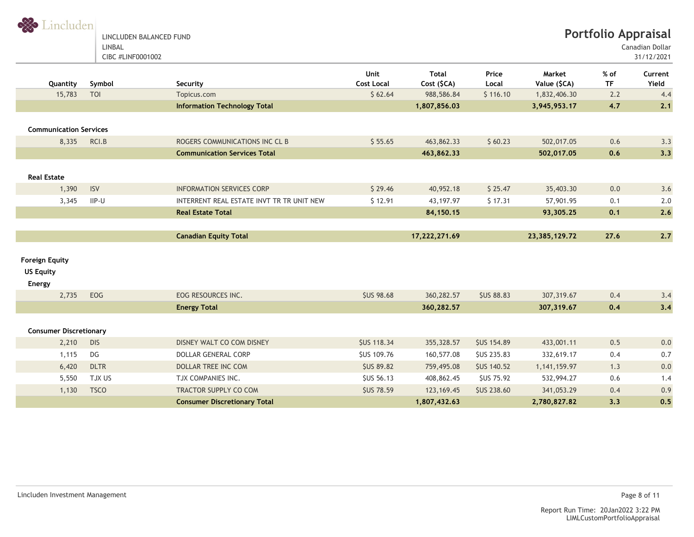Strincluden

LINCLUDEN BALANCED FUND LINBAL CIBC #LINF0001002

Canadian Dollar

| Quantity                                                   | Symbol      | Security                                  | Unit<br><b>Cost Local</b> | <b>Total</b><br>Cost (\$CA) | Price<br>Local     | Market<br>Value (\$CA) | % of<br><b>TF</b> | Current<br>Yield |
|------------------------------------------------------------|-------------|-------------------------------------------|---------------------------|-----------------------------|--------------------|------------------------|-------------------|------------------|
| 15,783                                                     | <b>TOI</b>  | Topicus.com                               | \$62.64                   | 988,586.84                  | \$116.10           | 1,832,406.30           | 2.2               | 4.4              |
|                                                            |             | <b>Information Technology Total</b>       |                           | 1,807,856.03                |                    | 3,945,953.17           | 4.7               | 2.1              |
|                                                            |             |                                           |                           |                             |                    |                        |                   |                  |
| <b>Communication Services</b>                              |             |                                           |                           |                             |                    |                        |                   |                  |
| 8,335                                                      | RCI.B       | ROGERS COMMUNICATIONS INC CL B            | \$55.65                   | 463,862.33                  | \$60.23            | 502,017.05             | 0.6               | 3.3              |
|                                                            |             | <b>Communication Services Total</b>       |                           | 463,862.33                  |                    | 502,017.05             | 0.6               | 3.3              |
|                                                            |             |                                           |                           |                             |                    |                        |                   |                  |
| <b>Real Estate</b>                                         |             |                                           |                           |                             |                    |                        |                   |                  |
| 1,390                                                      | <b>ISV</b>  | <b>INFORMATION SERVICES CORP</b>          | \$29.46                   | 40,952.18                   | \$25.47            | 35,403.30              | 0.0               | 3.6              |
| 3,345                                                      | $IIP-U$     | INTERRENT REAL ESTATE INVT TR TR UNIT NEW | \$12.91                   | 43,197.97                   | \$17.31            | 57,901.95              | 0.1               | 2.0              |
|                                                            |             | <b>Real Estate Total</b>                  |                           | 84, 150. 15                 |                    | 93,305.25              | 0.1               | 2.6              |
|                                                            |             |                                           |                           |                             |                    |                        |                   |                  |
|                                                            |             | <b>Canadian Equity Total</b>              |                           | 17,222,271.69               |                    | 23,385,129.72          | 27.6              | 2.7              |
| <b>Foreign Equity</b><br><b>US Equity</b><br><b>Energy</b> |             |                                           |                           |                             |                    |                        |                   |                  |
| 2,735                                                      | EOG         | EOG RESOURCES INC.                        | <b>\$US 98.68</b>         | 360,282.57                  | <b>\$US 88.83</b>  | 307,319.67             | 0.4               | 3.4              |
|                                                            |             | <b>Energy Total</b>                       |                           | 360,282.57                  |                    | 307,319.67             | 0.4               | 3,4              |
| <b>Consumer Discretionary</b>                              |             |                                           |                           |                             |                    |                        |                   |                  |
| 2,210                                                      | <b>DIS</b>  | DISNEY WALT CO COM DISNEY                 | <b>\$US 118.34</b>        | 355,328.57                  | <b>\$US 154.89</b> | 433,001.11             | 0.5               | 0.0              |
| 1,115                                                      | DG          | DOLLAR GENERAL CORP                       | <b>\$US 109.76</b>        | 160,577.08                  | <b>\$US 235.83</b> | 332,619.17             | 0.4               | 0.7              |
| 6,420                                                      | <b>DLTR</b> | DOLLAR TREE INC COM                       | <b>\$US 89.82</b>         | 759,495.08                  | <b>SUS 140.52</b>  | 1,141,159.97           | 1.3               | 0.0              |
| 5,550                                                      | TJX US      | TJX COMPANIES INC.                        | <b>SUS 56.13</b>          | 408,862.45                  | <b>SUS 75.92</b>   | 532,994.27             | 0.6               | 1.4              |
| 1,130                                                      | <b>TSCO</b> | <b>TRACTOR SUPPLY CO COM</b>              | <b>\$US 78.59</b>         | 123, 169. 45                | <b>\$US 238.60</b> | 341,053.29             | 0.4               | 0.9              |
|                                                            |             | <b>Consumer Discretionary Total</b>       |                           | 1,807,432.63                |                    | 2,780,827.82           | 3.3               | 0.5              |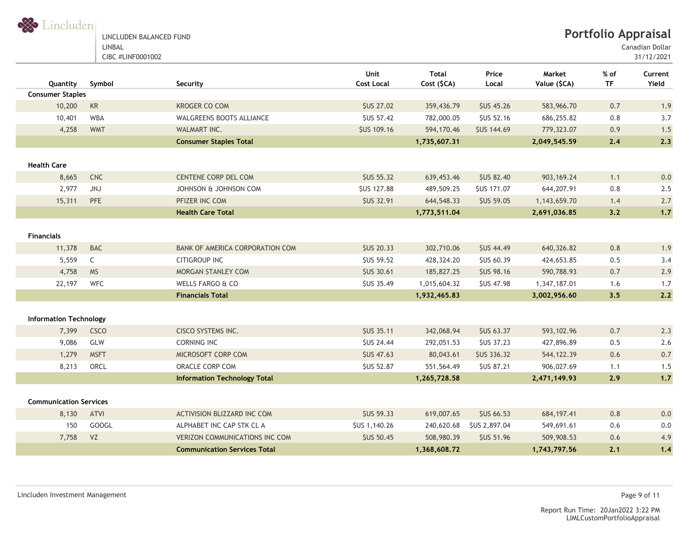S Lincluden

LINCLUDEN BALANCED FUND LINBAL CIBC #LINF0001002

**Portfolio Appraisal**

Canadian Dollar

| Quantity                      | Symbol       | Security                              | Unit<br><b>Cost Local</b> | <b>Total</b><br>Cost (\$CA) | Price<br>Local     | Market<br>Value (\$CA) | % of<br><b>TF</b> | Current<br>Yield |
|-------------------------------|--------------|---------------------------------------|---------------------------|-----------------------------|--------------------|------------------------|-------------------|------------------|
| <b>Consumer Staples</b>       |              |                                       |                           |                             |                    |                        |                   |                  |
| 10,200                        | KR           | <b>KROGER CO COM</b>                  | <b>\$US 27.02</b>         | 359,436.79                  | <b>\$US 45.26</b>  | 583,966.70             | 0.7               | 1.9              |
| 10,401                        | <b>WBA</b>   | <b>WALGREENS BOOTS ALLIANCE</b>       | <b>\$US 57.42</b>         | 782,000.05                  | <b>\$US 52.16</b>  | 686,255.82             | 0.8               | 3.7              |
| 4,258                         | <b>WMT</b>   | WALMART INC.                          | <b>\$US 109.16</b>        | 594,170.46                  | <b>\$US 144.69</b> | 779,323.07             | 0.9               | 1.5              |
|                               |              | <b>Consumer Staples Total</b>         |                           | 1,735,607.31                |                    | 2,049,545.59           | 2.4               | 2.3              |
| <b>Health Care</b>            |              |                                       |                           |                             |                    |                        |                   |                  |
| 8,665                         | <b>CNC</b>   | CENTENE CORP DEL COM                  | <b>\$US 55.32</b>         | 639,453.46                  | <b>\$US 82.40</b>  | 903, 169.24            | 1.1               | 0.0              |
| 2,977                         | <b>JNJ</b>   | JOHNSON & JOHNSON COM                 | <b>SUS 127.88</b>         | 489,509.25                  | <b>SUS 171.07</b>  | 644,207.91             | 0.8               | 2.5              |
| 15,311                        | PFE          | PFIZER INC COM                        | <b>\$US 32.91</b>         | 644,548.33                  | <b>\$US 59.05</b>  | 1,143,659.70           | 1.4               | 2.7              |
|                               |              | <b>Health Care Total</b>              |                           | 1,773,511.04                |                    | 2,691,036.85           | 3.2               | 1.7              |
| <b>Financials</b>             |              |                                       |                           |                             |                    |                        |                   |                  |
| 11,378                        | <b>BAC</b>   | BANK OF AMERICA CORPORATION COM       | <b>\$US 20.33</b>         | 302,710.06                  | <b>\$US 44.49</b>  | 640,326.82             | 0.8               | 1.9              |
| 5,559                         | $\mathsf{C}$ | <b>CITIGROUP INC</b>                  | <b>\$US 59.52</b>         | 428,324.20                  | <b>\$US 60.39</b>  | 424,653.85             | 0.5               | 3.4              |
| 4,758                         | <b>MS</b>    | MORGAN STANLEY COM                    | <b>\$US 30.61</b>         | 185,827.25                  | <b>\$US 98.16</b>  | 590,788.93             | 0.7               | 2.9              |
| 22,197                        | <b>WFC</b>   | WELLS FARGO & CO                      | <b>\$US 35.49</b>         | 1,015,604.32                | <b>SUS 47.98</b>   | 1,347,187.01           | 1.6               | 1.7              |
|                               |              | <b>Financials Total</b>               |                           | 1,932,465.83                |                    | 3,002,956.60           | 3.5               | 2.2              |
| <b>Information Technology</b> |              |                                       |                           |                             |                    |                        |                   |                  |
| 7,399                         | <b>CSCO</b>  | <b>CISCO SYSTEMS INC.</b>             | <b>SUS 35.11</b>          | 342,068.94                  | <b>\$US 63.37</b>  | 593, 102.96            | 0.7               | 2.3              |
| 9,086                         | GLW          | CORNING INC                           | <b>\$US 24.44</b>         | 292,051.53                  | <b>\$US 37.23</b>  | 427,896.89             | 0.5               | 2.6              |
| 1,279                         | <b>MSFT</b>  | MICROSOFT CORP COM                    | <b>SUS 47.63</b>          | 80,043.61                   | <b>\$US 336.32</b> | 544, 122.39            | 0.6               | 0.7              |
| 8,213                         | ORCL         | ORACLE CORP COM                       | <b>SUS 52.87</b>          | 551,564.49                  | <b>SUS 87.21</b>   | 906,027.69             | 1.1               | 1.5              |
|                               |              | <b>Information Technology Total</b>   |                           | 1,265,728.58                |                    | 2,471,149.93           | 2.9               | $1.7$            |
| <b>Communication Services</b> |              |                                       |                           |                             |                    |                        |                   |                  |
| 8,130                         | ATVI         | ACTIVISION BLIZZARD INC COM           | <b>\$US 59.33</b>         | 619,007.65                  | <b>\$US 66.53</b>  | 684, 197.41            | 0.8               | 0.0              |
| 150                           | <b>GOOGL</b> | ALPHABET INC CAP STK CL A             | \$US 1,140.26             | 240,620.68                  | \$US 2,897.04      | 549,691.61             | 0.6               | $0.0\,$          |
| 7,758                         | <b>VZ</b>    | <b>VERIZON COMMUNICATIONS INC COM</b> | <b>\$US 50.45</b>         | 508,980.39                  | <b>SUS 51.96</b>   | 509,908.53             | 0.6               | 4.9              |
|                               |              | <b>Communication Services Total</b>   |                           | 1,368,608.72                |                    | 1,743,797.56           | 2.1               | 1.4              |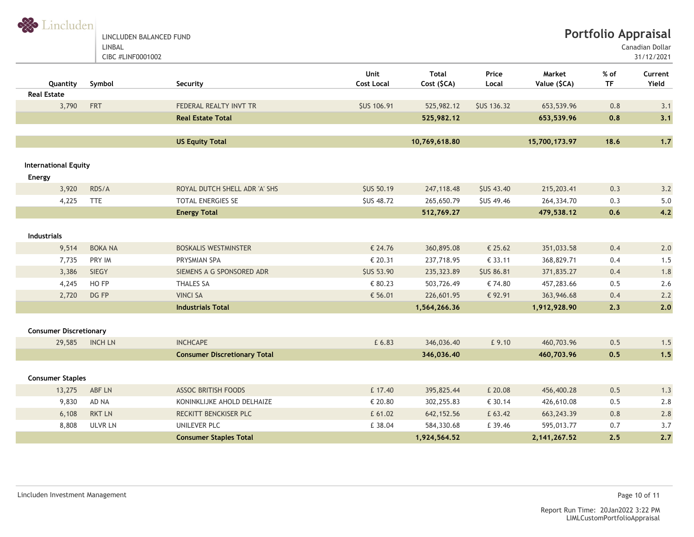S Lincluden LINCLUDEN BALANCED FUND

LINBAL

CIBC #LINF0001002

Canadian Dollar

|                               |                |                                     | Unit               | <b>Total</b>  | Price              | Market         | % of      | Current |
|-------------------------------|----------------|-------------------------------------|--------------------|---------------|--------------------|----------------|-----------|---------|
| Quantity                      | Symbol         | Security                            | <b>Cost Local</b>  | Cost (\$CA)   | Local              | Value (\$CA)   | <b>TF</b> | Yield   |
| <b>Real Estate</b>            |                |                                     |                    |               |                    |                |           |         |
| 3,790                         | <b>FRT</b>     | FEDERAL REALTY INVT TR              | <b>\$US 106.91</b> | 525,982.12    | <b>\$US 136.32</b> | 653,539.96     | 0.8       | 3.1     |
|                               |                | <b>Real Estate Total</b>            |                    | 525,982.12    |                    | 653,539.96     | 0.8       | 3.1     |
|                               |                |                                     |                    |               |                    |                |           |         |
|                               |                | <b>US Equity Total</b>              |                    | 10,769,618.80 |                    | 15,700,173.97  | 18.6      | $1.7$   |
|                               |                |                                     |                    |               |                    |                |           |         |
| <b>International Equity</b>   |                |                                     |                    |               |                    |                |           |         |
| Energy                        |                |                                     |                    |               |                    |                |           |         |
| 3,920                         | RDS/A          | ROYAL DUTCH SHELL ADR 'A' SHS       | <b>\$US 50.19</b>  | 247, 118.48   | <b>\$US 43.40</b>  | 215,203.41     | 0.3       | 3.2     |
| 4,225                         | <b>TTE</b>     | <b>TOTAL ENERGIES SE</b>            | <b>SUS 48.72</b>   | 265,650.79    | <b>SUS 49.46</b>   | 264,334.70     | 0.3       | 5.0     |
|                               |                | <b>Energy Total</b>                 |                    | 512,769.27    |                    | 479,538.12     | 0,6       | 4.2     |
|                               |                |                                     |                    |               |                    |                |           |         |
| <b>Industrials</b>            |                |                                     |                    |               |                    |                |           |         |
| 9,514                         | <b>BOKA NA</b> | <b>BOSKALIS WESTMINSTER</b>         | € 24.76            | 360,895.08    | € 25.62            | 351,033.58     | 0.4       | 2.0     |
| 7,735                         | PRY IM         | PRYSMIAN SPA                        | € 20.31            | 237,718.95    | € 33.11            | 368,829.71     | 0.4       | 1.5     |
| 3,386                         | <b>SIEGY</b>   | SIEMENS A G SPONSORED ADR           | <b>SUS 53.90</b>   | 235,323.89    | <b>\$US 86.81</b>  | 371,835.27     | 0.4       | 1.8     |
| 4,245                         | HO FP          | <b>THALES SA</b>                    | € 80.23            | 503,726.49    | € 74.80            | 457,283.66     | 0.5       | 2.6     |
| 2,720                         | DG FP          | <b>VINCI SA</b>                     | € 56.01            | 226,601.95    | € 92.91            | 363,946.68     | 0.4       | 2.2     |
|                               |                | <b>Industrials Total</b>            |                    | 1,564,266.36  |                    | 1,912,928.90   | 2.3       | 2.0     |
|                               |                |                                     |                    |               |                    |                |           |         |
| <b>Consumer Discretionary</b> |                |                                     |                    |               |                    |                |           |         |
| 29,585                        | <b>INCH LN</b> | <b>INCHCAPE</b>                     | £ 6.83             | 346,036.40    | £9.10              | 460,703.96     | 0.5       | 1.5     |
|                               |                | <b>Consumer Discretionary Total</b> |                    | 346,036.40    |                    | 460,703.96     | 0.5       | 1.5     |
|                               |                |                                     |                    |               |                    |                |           |         |
| <b>Consumer Staples</b>       |                |                                     |                    |               |                    |                |           |         |
| 13,275                        | ABF LN         | <b>ASSOC BRITISH FOODS</b>          | £ 17.40            | 395,825.44    | £ 20.08            | 456,400.28     | 0.5       | 1.3     |
| 9,830                         | AD NA          | KONINKLIJKE AHOLD DELHAIZE          | € 20.80            | 302,255.83    | € 30.14            | 426,610.08     | 0.5       | 2.8     |
| 6,108                         | <b>RKT LN</b>  | RECKITT BENCKISER PLC               | £ 61.02            | 642, 152.56   | £ 63.42            | 663, 243. 39   | 0.8       | 2.8     |
| 8,808                         | <b>ULVR LN</b> | UNILEVER PLC                        | £ 38.04            | 584,330.68    | £ 39.46            | 595,013.77     | 0.7       | 3.7     |
|                               |                | <b>Consumer Staples Total</b>       |                    | 1,924,564.52  |                    | 2, 141, 267.52 | 2.5       | 2.7     |